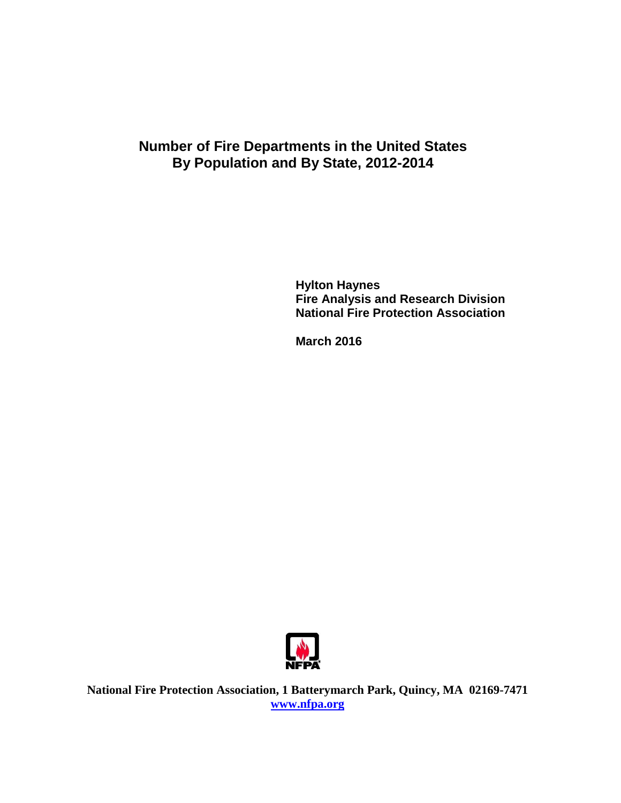# **Number of Fire Departments in the United States By Population and By State, 2012-2014**

**Hylton Haynes Fire Analysis and Research Division National Fire Protection Association**

**March 2016**



**National Fire Protection Association, 1 Batterymarch Park, Quincy, MA 02169-7471 [www.nfpa.org](http://www.nfpa.org/)**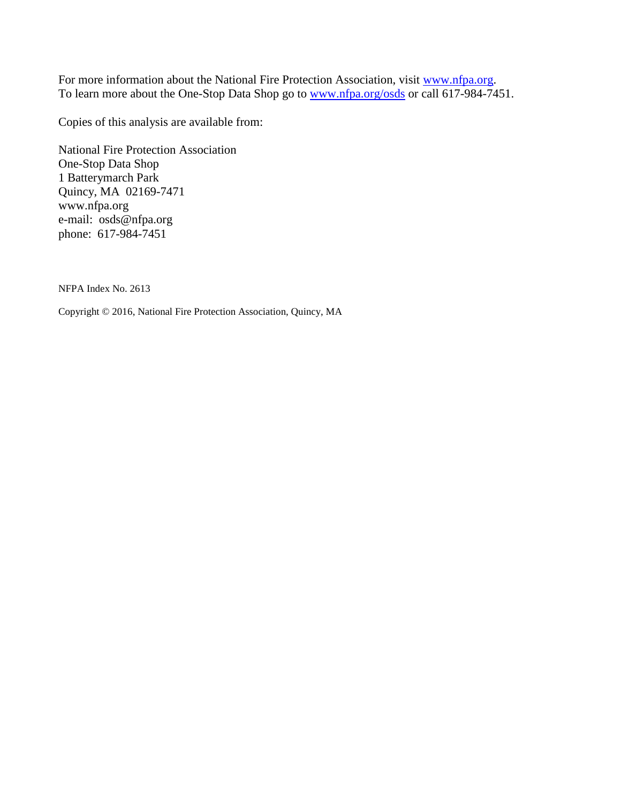For more information about the National Fire Protection Association, visit [www.nfpa.org.](http://www.nfpa.org/) To learn more about the One-Stop Data Shop go to [www.nfpa.org/osds](http://www.nfpa.org/osds) or call 617-984-7451.

Copies of this analysis are available from:

National Fire Protection Association One-Stop Data Shop 1 Batterymarch Park Quincy, MA 02169-7471 www.nfpa.org e-mail: osds@nfpa.org phone: 617-984-7451

NFPA Index No. 2613

Copyright © 2016, National Fire Protection Association, Quincy, MA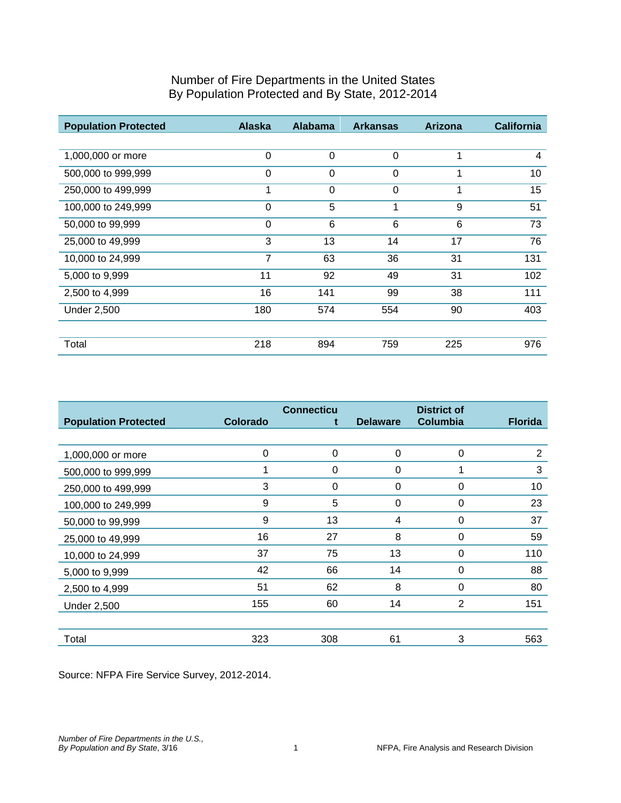| <b>Population Protected</b> | <b>Alaska</b> | <b>Alabama</b> | <b>Arkansas</b> | <b>Arizona</b> | <b>California</b> |
|-----------------------------|---------------|----------------|-----------------|----------------|-------------------|
|                             |               |                |                 |                |                   |
| 1,000,000 or more           | 0             | $\Omega$       | $\Omega$        | 1              | 4                 |
| 500,000 to 999,999          | 0             | $\Omega$       | $\Omega$        |                | 10                |
| 250,000 to 499,999          | 1             | $\Omega$       | $\Omega$        |                | 15                |
| 100,000 to 249,999          | 0             | 5              | 1               | 9              | 51                |
| 50,000 to 99,999            | 0             | 6              | 6               | 6              | 73                |
| 25,000 to 49,999            | 3             | 13             | 14              | 17             | 76                |
| 10,000 to 24,999            | 7             | 63             | 36              | 31             | 131               |
| 5,000 to 9,999              | 11            | 92             | 49              | 31             | 102               |
| 2,500 to 4,999              | 16            | 141            | 99              | 38             | 111               |
| <b>Under 2,500</b>          | 180           | 574            | 554             | 90             | 403               |
|                             |               |                |                 |                |                   |
| Total                       | 218           | 894            | 759             | 225            | 976               |

| <b>Population Protected</b> | <b>Colorado</b> | <b>Connecticu</b> | <b>Delaware</b> | <b>District of</b><br>Columbia | <b>Florida</b> |
|-----------------------------|-----------------|-------------------|-----------------|--------------------------------|----------------|
|                             |                 | t                 |                 |                                |                |
| 1,000,000 or more           | $\Omega$        | 0                 | 0               | $\Omega$                       | 2              |
| 500,000 to 999,999          | 4               | 0                 | 0               |                                | 3              |
| 250,000 to 499,999          | 3               | 0                 | 0               | 0                              | 10             |
| 100,000 to 249,999          | 9               | 5                 | 0               | $\Omega$                       | 23             |
| 50,000 to 99,999            | 9               | 13                | 4               | $\Omega$                       | 37             |
| 25,000 to 49,999            | 16              | 27                | 8               | 0                              | 59             |
| 10,000 to 24,999            | 37              | 75                | 13              | 0                              | 110            |
| 5,000 to 9,999              | 42              | 66                | 14              | 0                              | 88             |
| 2,500 to 4,999              | 51              | 62                | 8               | $\Omega$                       | 80             |
| <b>Under 2,500</b>          | 155             | 60                | 14              | $\overline{2}$                 | 151            |
|                             |                 |                   |                 |                                |                |
| Total                       | 323             | 308               | 61              | 3                              | 563            |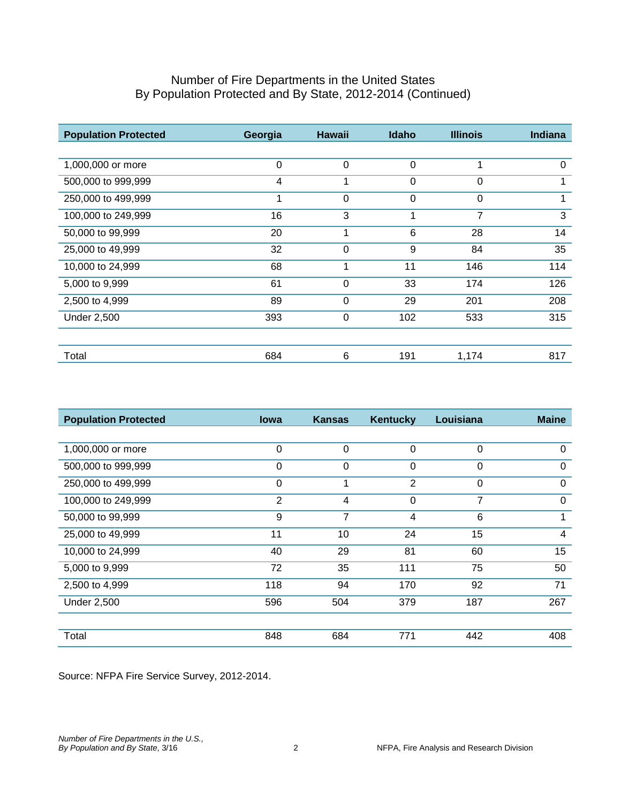| <b>Population Protected</b> | Georgia     | <b>Hawaii</b> | Idaho       | <b>Illinois</b> | <b>Indiana</b> |
|-----------------------------|-------------|---------------|-------------|-----------------|----------------|
|                             |             |               |             |                 |                |
| 1,000,000 or more           | $\mathbf 0$ | $\mathbf 0$   | $\mathbf 0$ | 1               | $\Omega$       |
| 500,000 to 999,999          | 4           | 1             | $\mathbf 0$ | $\Omega$        | 1              |
| 250,000 to 499,999          |             | 0             | $\Omega$    | 0               |                |
| 100,000 to 249,999          | 16          | 3             | 1           | 7               | 3              |
| 50,000 to 99,999            | 20          | 1             | 6           | 28              | 14             |
| 25,000 to 49,999            | 32          | $\mathbf 0$   | 9           | 84              | 35             |
| 10,000 to 24,999            | 68          | 1             | 11          | 146             | 114            |
| 5,000 to 9,999              | 61          | 0             | 33          | 174             | 126            |
| 2,500 to 4,999              | 89          | 0             | 29          | 201             | 208            |
| <b>Under 2,500</b>          | 393         | 0             | 102         | 533             | 315            |
|                             |             |               |             |                 |                |
| Total                       | 684         | 6             | 191         | 1,174           | 817            |

| <b>Population Protected</b> | <b>lowa</b>    | <b>Kansas</b> | <b>Kentucky</b> | Louisiana | <b>Maine</b> |
|-----------------------------|----------------|---------------|-----------------|-----------|--------------|
|                             |                |               |                 |           |              |
| 1,000,000 or more           | 0              | 0             | $\Omega$        | $\Omega$  | $\Omega$     |
| 500,000 to 999,999          | 0              | $\mathbf 0$   | 0               | $\Omega$  | $\Omega$     |
| 250,000 to 499,999          | 0              |               | 2               | 0         | $\Omega$     |
| 100,000 to 249,999          | $\overline{2}$ | 4             | $\Omega$        | 7         | $\Omega$     |
| 50,000 to 99,999            | 9              | 7             | 4               | 6         | 1            |
| 25,000 to 49,999            | 11             | 10            | 24              | 15        | 4            |
| 10,000 to 24,999            | 40             | 29            | 81              | 60        | 15           |
| 5,000 to 9,999              | 72             | 35            | 111             | 75        | 50           |
| 2,500 to 4,999              | 118            | 94            | 170             | 92        | 71           |
| <b>Under 2,500</b>          | 596            | 504           | 379             | 187       | 267          |
|                             |                |               |                 |           |              |
| Total                       | 848            | 684           | 771             | 442       | 408          |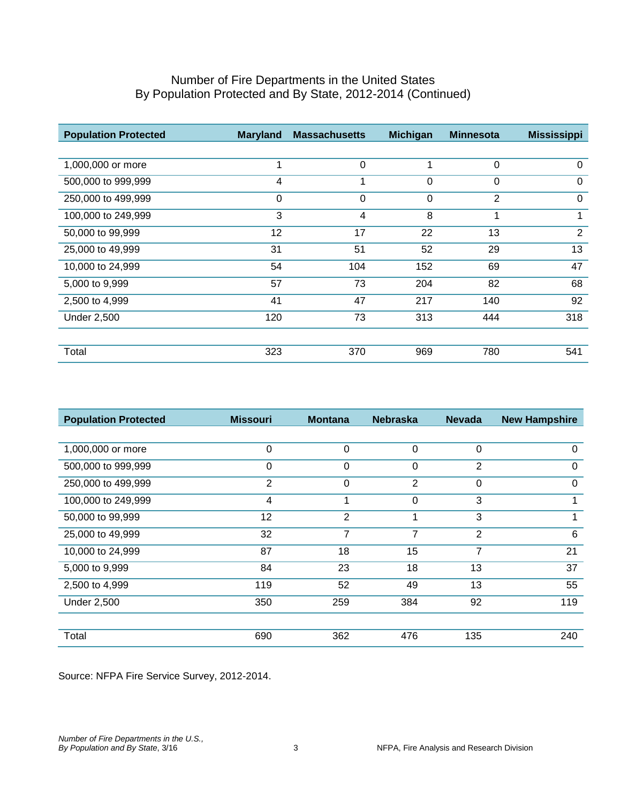| <b>Population Protected</b> | <b>Maryland</b> | <b>Massachusetts</b> | <b>Michigan</b> | <b>Minnesota</b> | <b>Mississippi</b> |
|-----------------------------|-----------------|----------------------|-----------------|------------------|--------------------|
|                             |                 |                      |                 |                  |                    |
| 1,000,000 or more           | 1               | $\Omega$             |                 | $\Omega$         | $\Omega$           |
| 500,000 to 999,999          | 4               | 1                    | $\mathbf 0$     | $\mathbf 0$      | $\Omega$           |
| 250,000 to 499,999          | $\mathbf 0$     | 0                    | $\mathbf 0$     | $\overline{2}$   | 0                  |
| 100,000 to 249,999          | 3               | 4                    | 8               | 1                | 1                  |
| 50,000 to 99,999            | 12              | 17                   | 22              | 13               | 2                  |
| 25,000 to 49,999            | 31              | 51                   | 52              | 29               | 13                 |
| 10,000 to 24,999            | 54              | 104                  | 152             | 69               | 47                 |
| 5,000 to 9,999              | 57              | 73                   | 204             | 82               | 68                 |
| 2,500 to 4,999              | 41              | 47                   | 217             | 140              | 92                 |
| <b>Under 2,500</b>          | 120             | 73                   | 313             | 444              | 318                |
|                             |                 |                      |                 |                  |                    |
| Total                       | 323             | 370                  | 969             | 780              | 541                |

| <b>Population Protected</b> | <b>Missouri</b> | <b>Montana</b> | <b>Nebraska</b> | <b>Nevada</b>  | <b>New Hampshire</b> |
|-----------------------------|-----------------|----------------|-----------------|----------------|----------------------|
|                             |                 |                |                 |                |                      |
| 1,000,000 or more           | 0               | 0              | $\mathbf 0$     | $\mathbf 0$    | $\Omega$             |
| 500,000 to 999,999          | 0               | 0              | 0               | 2              | 0                    |
| 250,000 to 499,999          | $\overline{2}$  | 0              | 2               | 0              | $\Omega$             |
| 100,000 to 249,999          | 4               | 1              | $\Omega$        | 3              | 1                    |
| 50,000 to 99,999            | 12              | 2              | 1               | 3              | 1                    |
| 25,000 to 49,999            | 32              | 7              | 7               | $\overline{2}$ | 6                    |
| 10,000 to 24,999            | 87              | 18             | 15              | 7              | 21                   |
| 5,000 to 9,999              | 84              | 23             | 18              | 13             | 37                   |
| 2,500 to 4,999              | 119             | 52             | 49              | 13             | 55                   |
| <b>Under 2,500</b>          | 350             | 259            | 384             | 92             | 119                  |
|                             |                 |                |                 |                |                      |
| Total                       | 690             | 362            | 476             | 135            | 240                  |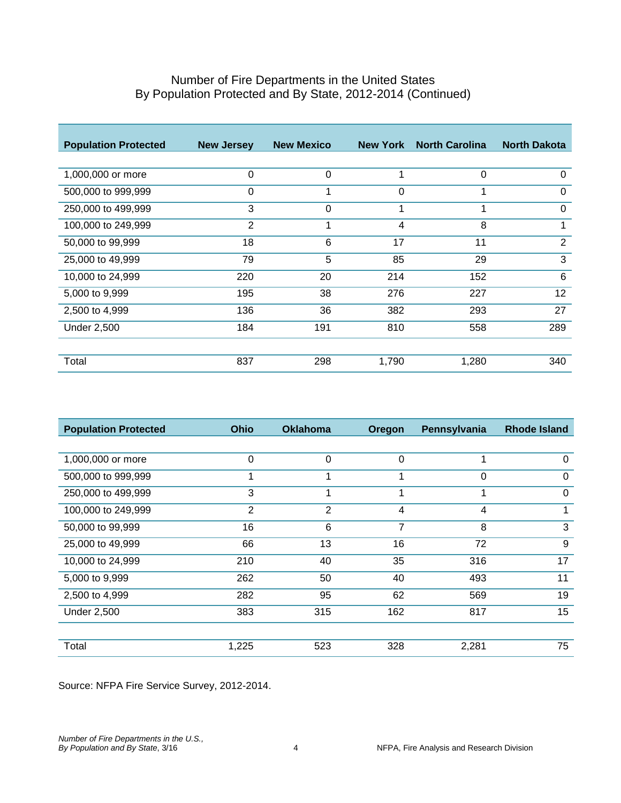| <b>Population Protected</b> | <b>New Jersey</b> | <b>New Mexico</b> | <b>New York</b> | <b>North Carolina</b> | <b>North Dakota</b> |
|-----------------------------|-------------------|-------------------|-----------------|-----------------------|---------------------|
|                             |                   |                   |                 |                       |                     |
| 1,000,000 or more           | 0                 | $\Omega$          | 1               | 0                     | 0                   |
| 500,000 to 999,999          | 0                 |                   | 0               |                       | 0                   |
| 250,000 to 499,999          | 3                 | 0                 | 1               | 1                     | 0                   |
| 100,000 to 249,999          | $\overline{2}$    | 1                 | 4               | 8                     | 1                   |
| 50,000 to 99,999            | 18                | 6                 | 17              | 11                    | 2                   |
| 25,000 to 49,999            | 79                | 5                 | 85              | 29                    | 3                   |
| 10,000 to 24,999            | 220               | 20                | 214             | 152                   | $6\phantom{1}6$     |
| 5,000 to 9,999              | 195               | 38                | 276             | 227                   | 12                  |
| 2,500 to 4,999              | 136               | 36                | 382             | 293                   | 27                  |
| <b>Under 2,500</b>          | 184               | 191               | 810             | 558                   | 289                 |
|                             |                   |                   |                 |                       |                     |
| Total                       | 837               | 298               | 1,790           | 1,280                 | 340                 |

| <b>Population Protected</b> | <b>Ohio</b> | <b>Oklahoma</b> | <b>Oregon</b>  | Pennsylvania | <b>Rhode Island</b> |
|-----------------------------|-------------|-----------------|----------------|--------------|---------------------|
|                             |             |                 |                |              |                     |
| 1,000,000 or more           | 0           | 0               | 0              | 1            | 0                   |
| 500,000 to 999,999          |             |                 | 1              | 0            | 0                   |
| 250,000 to 499,999          | 3           |                 |                | 1            | 0                   |
| 100,000 to 249,999          | 2           | $\overline{2}$  | 4              | 4            | 1                   |
| 50,000 to 99,999            | 16          | 6               | $\overline{7}$ | 8            | 3                   |
| 25,000 to 49,999            | 66          | 13              | 16             | 72           | 9                   |
| 10,000 to 24,999            | 210         | 40              | 35             | 316          | 17                  |
| 5,000 to 9,999              | 262         | 50              | 40             | 493          | 11                  |
| 2,500 to 4,999              | 282         | 95              | 62             | 569          | 19                  |
| <b>Under 2,500</b>          | 383         | 315             | 162            | 817          | 15                  |
|                             |             |                 |                |              |                     |
| Total                       | 1,225       | 523             | 328            | 2,281        | 75                  |